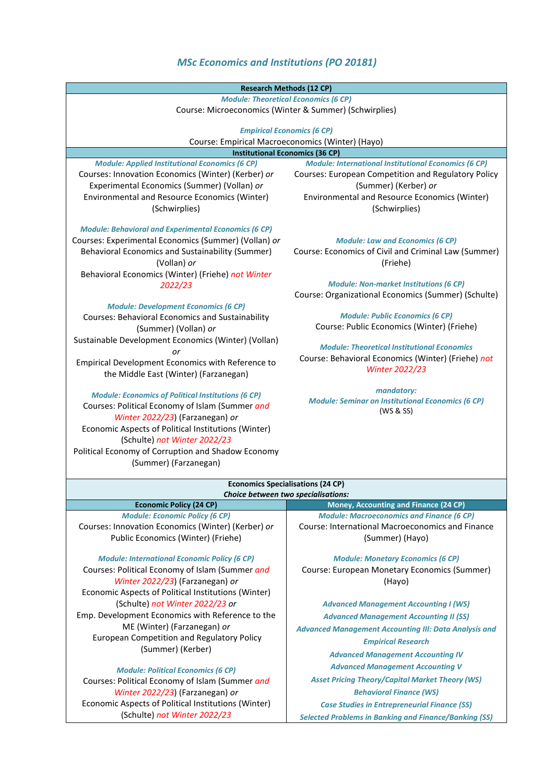## *MSc Economics and Institutions (PO 20181)*

| <b>Research Methods (12 CP)</b>                                                                                                                                |                                                                                                 |  |
|----------------------------------------------------------------------------------------------------------------------------------------------------------------|-------------------------------------------------------------------------------------------------|--|
| <b>Module: Theoretical Economics (6 CP)</b>                                                                                                                    |                                                                                                 |  |
| Course: Microeconomics (Winter & Summer) (Schwirplies)                                                                                                         |                                                                                                 |  |
|                                                                                                                                                                |                                                                                                 |  |
| <b>Empirical Economics (6 CP)</b>                                                                                                                              |                                                                                                 |  |
| Course: Empirical Macroeconomics (Winter) (Hayo)                                                                                                               |                                                                                                 |  |
| <b>Institutional Economics (36 CP)</b><br><b>Module: International Institutional Economics (6 CP)</b><br><b>Module: Applied Institutional Economics (6 CP)</b> |                                                                                                 |  |
| Courses: Innovation Economics (Winter) (Kerber) or                                                                                                             | Courses: European Competition and Regulatory Policy                                             |  |
| Experimental Economics (Summer) (Vollan) or                                                                                                                    | (Summer) (Kerber) or                                                                            |  |
| Environmental and Resource Economics (Winter)                                                                                                                  | Environmental and Resource Economics (Winter)                                                   |  |
| (Schwirplies)                                                                                                                                                  | (Schwirplies)                                                                                   |  |
|                                                                                                                                                                |                                                                                                 |  |
| <b>Module: Behavioral and Experimental Economics (6 CP)</b>                                                                                                    |                                                                                                 |  |
| Courses: Experimental Economics (Summer) (Vollan) or<br>Behavioral Economics and Sustainability (Summer)                                                       | <b>Module: Law and Economics (6 CP)</b><br>Course: Economics of Civil and Criminal Law (Summer) |  |
| (Vollan) or                                                                                                                                                    | (Friehe)                                                                                        |  |
| Behavioral Economics (Winter) (Friehe) not Winter                                                                                                              |                                                                                                 |  |
| 2022/23                                                                                                                                                        | <b>Module: Non-market Institutions (6 CP)</b>                                                   |  |
|                                                                                                                                                                | Course: Organizational Economics (Summer) (Schulte)                                             |  |
| <b>Module: Development Economics (6 CP)</b>                                                                                                                    |                                                                                                 |  |
| Courses: Behavioral Economics and Sustainability                                                                                                               | <b>Module: Public Economics (6 CP)</b>                                                          |  |
| (Summer) (Vollan) or                                                                                                                                           | Course: Public Economics (Winter) (Friehe)                                                      |  |
| Sustainable Development Economics (Winter) (Vollan)                                                                                                            | <b>Module: Theoretical Institutional Economics</b>                                              |  |
| or                                                                                                                                                             | Course: Behavioral Economics (Winter) (Friehe) not                                              |  |
| Empirical Development Economics with Reference to                                                                                                              | <b>Winter 2022/23</b>                                                                           |  |
| the Middle East (Winter) (Farzanegan)                                                                                                                          |                                                                                                 |  |
| <b>Module: Economics of Political Institutions (6 CP)</b>                                                                                                      | mandatory:                                                                                      |  |
| Courses: Political Economy of Islam (Summer and                                                                                                                | <b>Module: Seminar on Institutional Economics (6 CP)</b>                                        |  |
| Winter 2022/23) (Farzanegan) or                                                                                                                                | (WS & SS)                                                                                       |  |
| Economic Aspects of Political Institutions (Winter)                                                                                                            |                                                                                                 |  |
| (Schulte) not Winter 2022/23                                                                                                                                   |                                                                                                 |  |
| Political Economy of Corruption and Shadow Economy                                                                                                             |                                                                                                 |  |
| (Summer) (Farzanegan)                                                                                                                                          |                                                                                                 |  |
|                                                                                                                                                                |                                                                                                 |  |
| <b>Economics Specialisations (24 CP)</b><br>Choice between two specialisations:                                                                                |                                                                                                 |  |
| <b>Economic Policy (24 CP)</b>                                                                                                                                 | Money, Accounting and Finance (24 CP)                                                           |  |
| <b>Module: Economic Policy (6 CP)</b>                                                                                                                          | <b>Module: Macroeconomics and Finance (6 CP)</b>                                                |  |
| Courses: Innovation Economics (Winter) (Kerber) or                                                                                                             | <b>Course: International Macroeconomics and Finance</b>                                         |  |
| Public Economics (Winter) (Friehe)                                                                                                                             | (Summer) (Hayo)                                                                                 |  |
| <b>Module: International Economic Policy (6 CP)</b>                                                                                                            | <b>Module: Monetary Economics (6 CP)</b>                                                        |  |
| Courses: Political Economy of Islam (Summer and                                                                                                                | Course: European Monetary Economics (Summer)                                                    |  |
| Winter 2022/23) (Farzanegan) or                                                                                                                                | (Hayo)                                                                                          |  |
| Economic Aspects of Political Institutions (Winter)                                                                                                            |                                                                                                 |  |
| (Schulte) not Winter 2022/23 or                                                                                                                                | <b>Advanced Management Accounting I (WS)</b>                                                    |  |
| Emp. Development Economics with Reference to the                                                                                                               | <b>Advanced Management Accounting II (SS)</b>                                                   |  |
| ME (Winter) (Farzanegan) or                                                                                                                                    | <b>Advanced Management Accounting III: Data Analysis and</b>                                    |  |
| European Competition and Regulatory Policy                                                                                                                     | <b>Empirical Research</b>                                                                       |  |
| (Summer) (Kerber)                                                                                                                                              | <b>Advanced Management Accounting IV</b>                                                        |  |
|                                                                                                                                                                | <b>Advanced Management Accounting V</b>                                                         |  |
| <b>Module: Political Economics (6 CP)</b>                                                                                                                      | <b>Asset Pricing Theory/Capital Market Theory (WS)</b>                                          |  |
| Courses: Political Economy of Islam (Summer and                                                                                                                | <b>Behavioral Finance (WS)</b>                                                                  |  |
| Winter 2022/23) (Farzanegan) or<br>Economic Aspects of Political Institutions (Winter)                                                                         |                                                                                                 |  |
| (Schulte) not Winter 2022/23                                                                                                                                   | <b>Case Studies in Entrepreneurial Finance (SS)</b>                                             |  |
|                                                                                                                                                                | <b>Selected Problems in Banking and Finance/Banking (SS)</b>                                    |  |